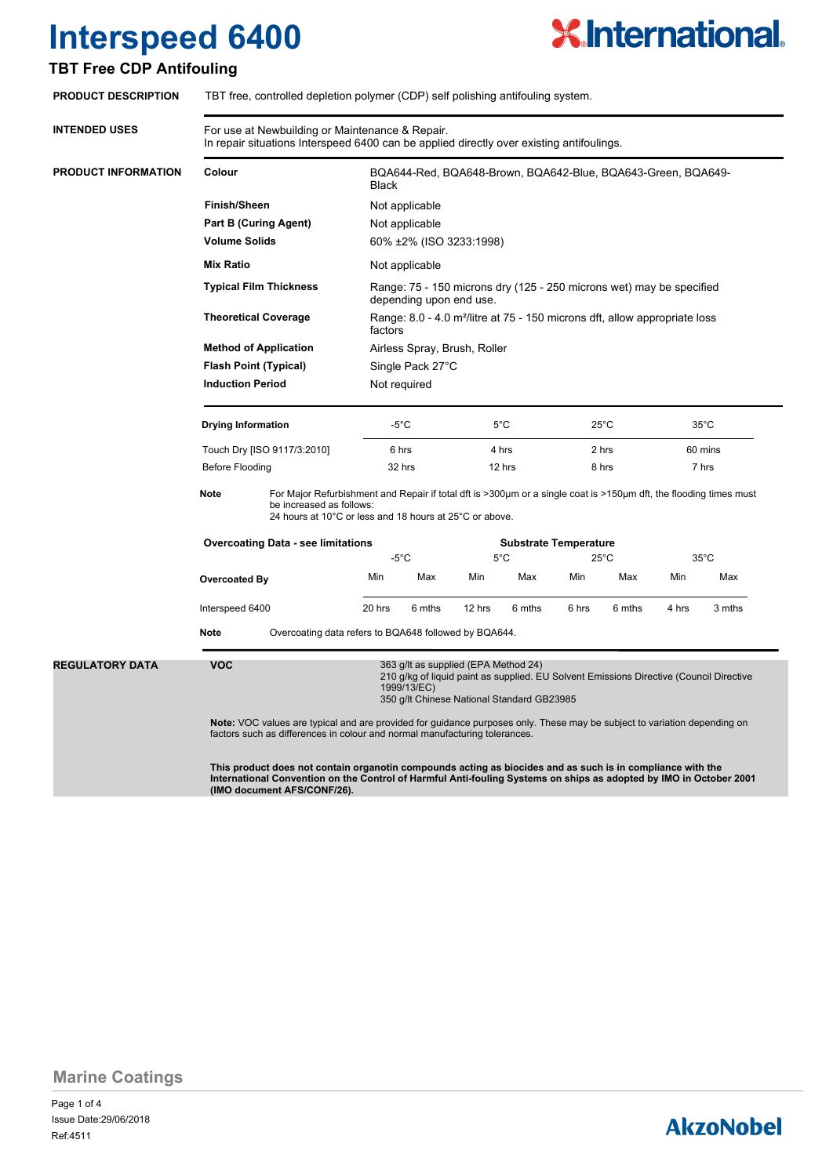

## **TBT Free CDP Antifouling**

| <b>PRODUCT DESCRIPTION</b> | TBT free, controlled depletion polymer (CDP) self polishing antifouling system.                                                                                                                                                                                                                                                               |                                                                                                                                                                                                                                                                                                                                        |                                                                                                                                                                                                          |                |               |                              |                |                |                |                                                                                                                   |                              |  |
|----------------------------|-----------------------------------------------------------------------------------------------------------------------------------------------------------------------------------------------------------------------------------------------------------------------------------------------------------------------------------------------|----------------------------------------------------------------------------------------------------------------------------------------------------------------------------------------------------------------------------------------------------------------------------------------------------------------------------------------|----------------------------------------------------------------------------------------------------------------------------------------------------------------------------------------------------------|----------------|---------------|------------------------------|----------------|----------------|----------------|-------------------------------------------------------------------------------------------------------------------|------------------------------|--|
| <b>INTENDED USES</b>       | For use at Newbuilding or Maintenance & Repair.<br>In repair situations Interspeed 6400 can be applied directly over existing antifoulings.                                                                                                                                                                                                   |                                                                                                                                                                                                                                                                                                                                        |                                                                                                                                                                                                          |                |               |                              |                |                |                |                                                                                                                   |                              |  |
| PRODUCT INFORMATION        | Colour                                                                                                                                                                                                                                                                                                                                        |                                                                                                                                                                                                                                                                                                                                        | BQA644-Red, BQA648-Brown, BQA642-Blue, BQA643-Green, BQA649-<br><b>Black</b>                                                                                                                             |                |               |                              |                |                |                |                                                                                                                   |                              |  |
|                            | <b>Finish/Sheen</b><br>Part B (Curing Agent)<br><b>Volume Solids</b><br><b>Mix Ratio</b><br><b>Typical Film Thickness</b><br><b>Theoretical Coverage</b><br><b>Method of Application</b>                                                                                                                                                      |                                                                                                                                                                                                                                                                                                                                        | Not applicable                                                                                                                                                                                           |                |               |                              |                |                |                |                                                                                                                   |                              |  |
|                            |                                                                                                                                                                                                                                                                                                                                               |                                                                                                                                                                                                                                                                                                                                        | Not applicable<br>60% ±2% (ISO 3233:1998)                                                                                                                                                                |                |               |                              |                |                |                |                                                                                                                   |                              |  |
|                            |                                                                                                                                                                                                                                                                                                                                               |                                                                                                                                                                                                                                                                                                                                        |                                                                                                                                                                                                          |                |               |                              |                |                |                | Not applicable<br>Range: 75 - 150 microns dry (125 - 250 microns wet) may be specified<br>depending upon end use. |                              |  |
|                            |                                                                                                                                                                                                                                                                                                                                               |                                                                                                                                                                                                                                                                                                                                        | Range: 8.0 - 4.0 m <sup>2</sup> /litre at 75 - 150 microns dft, allow appropriate loss<br>factors<br>Airless Spray, Brush, Roller                                                                        |                |               |                              |                |                |                |                                                                                                                   |                              |  |
|                            |                                                                                                                                                                                                                                                                                                                                               |                                                                                                                                                                                                                                                                                                                                        |                                                                                                                                                                                                          |                |               |                              |                |                |                |                                                                                                                   | <b>Flash Point (Typical)</b> |  |
|                            |                                                                                                                                                                                                                                                                                                                                               |                                                                                                                                                                                                                                                                                                                                        | <b>Induction Period</b>                                                                                                                                                                                  |                |               | Not required                 |                |                |                |                                                                                                                   |                              |  |
|                            |                                                                                                                                                                                                                                                                                                                                               |                                                                                                                                                                                                                                                                                                                                        |                                                                                                                                                                                                          |                |               |                              |                |                |                |                                                                                                                   |                              |  |
|                            |                                                                                                                                                                                                                                                                                                                                               | <b>Drying Information</b>                                                                                                                                                                                                                                                                                                              |                                                                                                                                                                                                          | $-5^{\circ}$ C |               | $5^{\circ}$ C                |                | $25^{\circ}$ C |                | $35^{\circ}$ C                                                                                                    |                              |  |
|                            |                                                                                                                                                                                                                                                                                                                                               | Touch Dry [ISO 9117/3:2010]                                                                                                                                                                                                                                                                                                            |                                                                                                                                                                                                          | 6 hrs          |               | 4 hrs                        |                | 2 hrs          |                | 60 mins                                                                                                           |                              |  |
|                            | <b>Before Flooding</b>                                                                                                                                                                                                                                                                                                                        |                                                                                                                                                                                                                                                                                                                                        | 32 hrs                                                                                                                                                                                                   |                | 12 hrs        |                              | 8 hrs          |                | 7 hrs          |                                                                                                                   |                              |  |
|                            | <b>Note</b>                                                                                                                                                                                                                                                                                                                                   |                                                                                                                                                                                                                                                                                                                                        | For Major Refurbishment and Repair if total dft is >300µm or a single coat is >150µm dft, the flooding times must<br>be increased as follows:<br>24 hours at 10°C or less and 18 hours at 25°C or above. |                |               |                              |                |                |                |                                                                                                                   |                              |  |
|                            |                                                                                                                                                                                                                                                                                                                                               | <b>Overcoating Data - see limitations</b>                                                                                                                                                                                                                                                                                              |                                                                                                                                                                                                          |                |               | <b>Substrate Temperature</b> |                |                |                |                                                                                                                   |                              |  |
|                            |                                                                                                                                                                                                                                                                                                                                               |                                                                                                                                                                                                                                                                                                                                        | $-5^{\circ}$ C                                                                                                                                                                                           |                | $5^{\circ}$ C |                              | $25^{\circ}$ C |                | $35^{\circ}$ C |                                                                                                                   |                              |  |
|                            |                                                                                                                                                                                                                                                                                                                                               | <b>Overcoated By</b><br>Interspeed 6400                                                                                                                                                                                                                                                                                                |                                                                                                                                                                                                          | Max            | Min           | Max                          | Min            | Max            | Min            | Max                                                                                                               |                              |  |
|                            |                                                                                                                                                                                                                                                                                                                                               |                                                                                                                                                                                                                                                                                                                                        |                                                                                                                                                                                                          |                | 6 mths        | 12 hrs                       | 6 mths         | 6 hrs          | 6 mths         | 4 hrs                                                                                                             | 3 mths                       |  |
|                            |                                                                                                                                                                                                                                                                                                                                               | <b>Note</b><br>Overcoating data refers to BQA648 followed by BQA644.                                                                                                                                                                                                                                                                   |                                                                                                                                                                                                          |                |               |                              |                |                |                |                                                                                                                   |                              |  |
|                            | <b>REGULATORY DATA</b>                                                                                                                                                                                                                                                                                                                        | <b>VOC</b><br>363 g/lt as supplied (EPA Method 24)<br>210 g/kg of liquid paint as supplied. EU Solvent Emissions Directive (Council Directive<br>1999/13/EC)<br>350 g/lt Chinese National Standard GB23985<br>Note: VOC values are typical and are provided for guidance purposes only. These may be subject to variation depending on |                                                                                                                                                                                                          |                |               |                              |                |                |                |                                                                                                                   |                              |  |
|                            | factors such as differences in colour and normal manufacturing tolerances.<br>This product does not contain organotin compounds acting as biocides and as such is in compliance with the<br>International Convention on the Control of Harmful Anti-fouling Systems on ships as adopted by IMO in October 2001<br>(IMO document AFS/CONF/26). |                                                                                                                                                                                                                                                                                                                                        |                                                                                                                                                                                                          |                |               |                              |                |                |                |                                                                                                                   |                              |  |

**Marine Coatings**

Page 1 of 4 Ref:4511 Issue Date:29/06/2018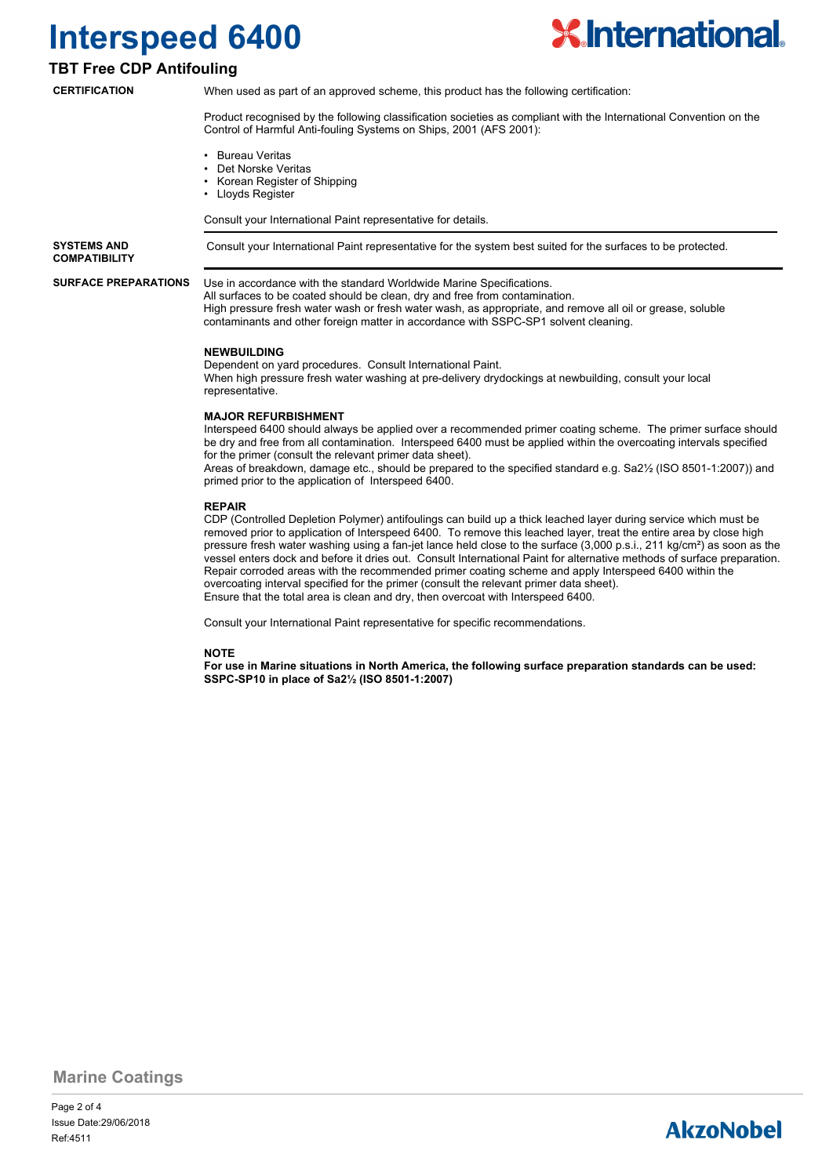

## **TBT Free CDP Antifouling**

**CERTIFICATION**

When used as part of an approved scheme, this product has the following certification:

Product recognised by the following classification societies as compliant with the International Convention on the Control of Harmful Anti-fouling Systems on Ships, 2001 (AFS 2001):

- Bureau Veritas
- Det Norske Veritas
- Korean Register of Shipping
- Lloyds Register

Consult your International Paint representative for details.

**SYSTEMS AND** Consult your International Paint representative for the system best suited for the surfaces to be protected. **COMPATIBILITY**

**SURFACE PREPARATIONS**

Use in accordance with the standard Worldwide Marine Specifications. All surfaces to be coated should be clean, dry and free from contamination. High pressure fresh water wash or fresh water wash, as appropriate, and remove all oil or grease, soluble contaminants and other foreign matter in accordance with SSPC-SP1 solvent cleaning.

#### **NEWBUILDING**

Dependent on yard procedures. Consult International Paint. When high pressure fresh water washing at pre-delivery drydockings at newbuilding, consult your local representative.

### **MAJOR REFURBISHMENT**

Interspeed 6400 should always be applied over a recommended primer coating scheme. The primer surface should be dry and free from all contamination. Interspeed 6400 must be applied within the overcoating intervals specified for the primer (consult the relevant primer data sheet). Areas of breakdown, damage etc., should be prepared to the specified standard e.g. Sa2½ (ISO 8501-1:2007)) and

primed prior to the application of Interspeed 6400.

#### **REPAIR**

CDP (Controlled Depletion Polymer) antifoulings can build up a thick leached layer during service which must be removed prior to application of Interspeed 6400. To remove this leached layer, treat the entire area by close high pressure fresh water washing using a fan-jet lance held close to the surface (3,000 p.s.i., 211 kg/cm²) as soon as the vessel enters dock and before it dries out. Consult International Paint for alternative methods of surface preparation. Repair corroded areas with the recommended primer coating scheme and apply Interspeed 6400 within the overcoating interval specified for the primer (consult the relevant primer data sheet). Ensure that the total area is clean and dry, then overcoat with Interspeed 6400.

Consult your International Paint representative for specific recommendations.

### **NOTE**

**For use in Marine situations in North America, the following surface preparation standards can be used: SSPC-SP10 in place of Sa2½ (ISO 8501-1:2007)**

**Marine Coatings**

Page 2 of 4 Ref:4511 Issue Date:29/06/2018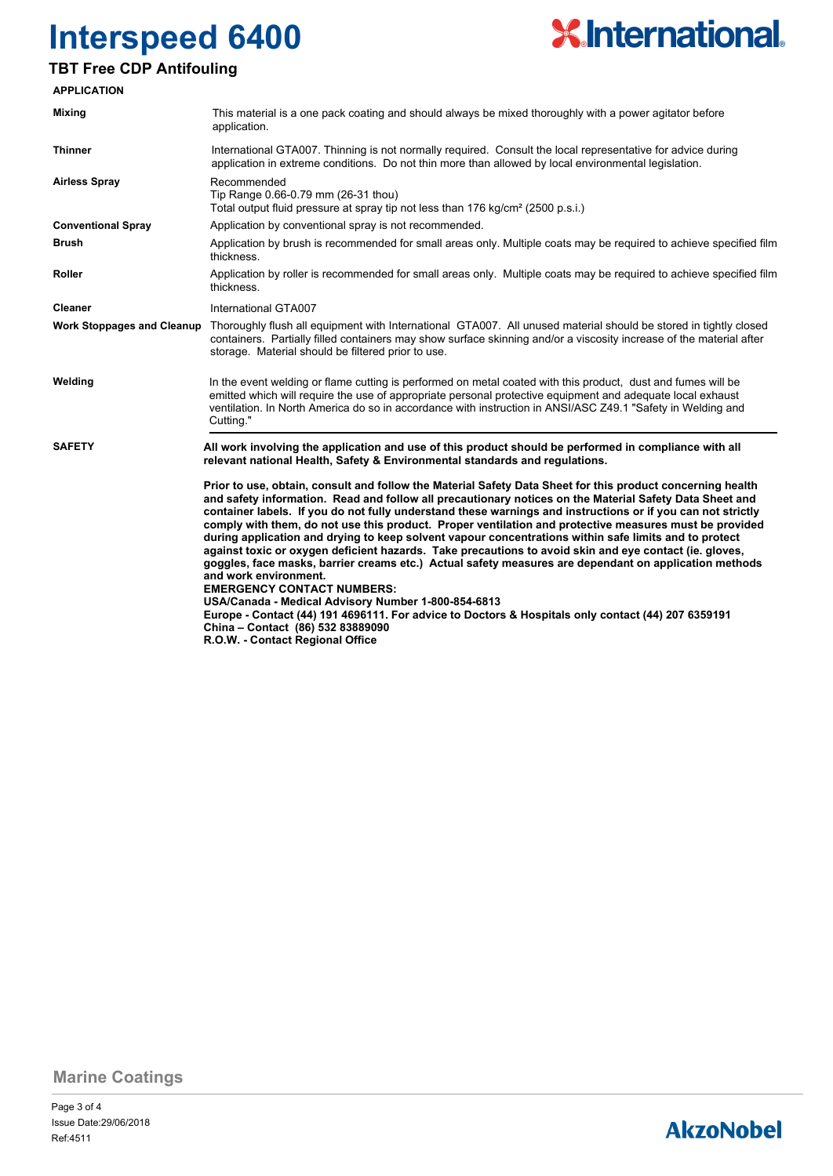

## **TBT Free CDP Antifouling**

| <b>APPLICATION</b>                |                                                                                                                                                                                                                                                                                                                                                                                                                                                                                                                                                                                                                                                                                                                                                                                                                                                                                                                                                                                                                                                                                |  |  |  |  |
|-----------------------------------|--------------------------------------------------------------------------------------------------------------------------------------------------------------------------------------------------------------------------------------------------------------------------------------------------------------------------------------------------------------------------------------------------------------------------------------------------------------------------------------------------------------------------------------------------------------------------------------------------------------------------------------------------------------------------------------------------------------------------------------------------------------------------------------------------------------------------------------------------------------------------------------------------------------------------------------------------------------------------------------------------------------------------------------------------------------------------------|--|--|--|--|
| Mixing                            | This material is a one pack coating and should always be mixed thoroughly with a power agitator before<br>application.                                                                                                                                                                                                                                                                                                                                                                                                                                                                                                                                                                                                                                                                                                                                                                                                                                                                                                                                                         |  |  |  |  |
| <b>Thinner</b>                    | International GTA007. Thinning is not normally required. Consult the local representative for advice during<br>application in extreme conditions. Do not thin more than allowed by local environmental legislation.                                                                                                                                                                                                                                                                                                                                                                                                                                                                                                                                                                                                                                                                                                                                                                                                                                                            |  |  |  |  |
| <b>Airless Spray</b>              | Recommended<br>Tip Range 0.66-0.79 mm (26-31 thou)<br>Total output fluid pressure at spray tip not less than 176 kg/cm <sup>2</sup> (2500 p.s.i.)                                                                                                                                                                                                                                                                                                                                                                                                                                                                                                                                                                                                                                                                                                                                                                                                                                                                                                                              |  |  |  |  |
| <b>Conventional Spray</b>         | Application by conventional spray is not recommended.                                                                                                                                                                                                                                                                                                                                                                                                                                                                                                                                                                                                                                                                                                                                                                                                                                                                                                                                                                                                                          |  |  |  |  |
| Brush                             | Application by brush is recommended for small areas only. Multiple coats may be required to achieve specified film<br>thickness.                                                                                                                                                                                                                                                                                                                                                                                                                                                                                                                                                                                                                                                                                                                                                                                                                                                                                                                                               |  |  |  |  |
| Roller                            | Application by roller is recommended for small areas only. Multiple coats may be required to achieve specified film<br>thickness.                                                                                                                                                                                                                                                                                                                                                                                                                                                                                                                                                                                                                                                                                                                                                                                                                                                                                                                                              |  |  |  |  |
| <b>Cleaner</b>                    | International GTA007                                                                                                                                                                                                                                                                                                                                                                                                                                                                                                                                                                                                                                                                                                                                                                                                                                                                                                                                                                                                                                                           |  |  |  |  |
| <b>Work Stoppages and Cleanup</b> | Thoroughly flush all equipment with International GTA007. All unused material should be stored in tightly closed<br>containers. Partially filled containers may show surface skinning and/or a viscosity increase of the material after<br>storage. Material should be filtered prior to use.                                                                                                                                                                                                                                                                                                                                                                                                                                                                                                                                                                                                                                                                                                                                                                                  |  |  |  |  |
| Welding                           | In the event welding or flame cutting is performed on metal coated with this product, dust and fumes will be<br>emitted which will require the use of appropriate personal protective equipment and adequate local exhaust<br>ventilation. In North America do so in accordance with instruction in ANSI/ASC Z49.1 "Safety in Welding and<br>Cutting."                                                                                                                                                                                                                                                                                                                                                                                                                                                                                                                                                                                                                                                                                                                         |  |  |  |  |
| <b>SAFETY</b>                     | All work involving the application and use of this product should be performed in compliance with all<br>relevant national Health, Safety & Environmental standards and regulations.                                                                                                                                                                                                                                                                                                                                                                                                                                                                                                                                                                                                                                                                                                                                                                                                                                                                                           |  |  |  |  |
|                                   | Prior to use, obtain, consult and follow the Material Safety Data Sheet for this product concerning health<br>and safety information. Read and follow all precautionary notices on the Material Safety Data Sheet and<br>container labels. If you do not fully understand these warnings and instructions or if you can not strictly<br>comply with them, do not use this product. Proper ventilation and protective measures must be provided<br>during application and drying to keep solvent vapour concentrations within safe limits and to protect<br>against toxic or oxygen deficient hazards. Take precautions to avoid skin and eye contact (ie. gloves,<br>goggles, face masks, barrier creams etc.) Actual safety measures are dependant on application methods<br>and work environment.<br><b>EMERGENCY CONTACT NUMBERS:</b><br>USA/Canada - Medical Advisory Number 1-800-854-6813<br>Europe - Contact (44) 191 4696111. For advice to Doctors & Hospitals only contact (44) 207 6359191<br>China - Contact (86) 532 83889090<br>R.O.W. - Contact Regional Office |  |  |  |  |